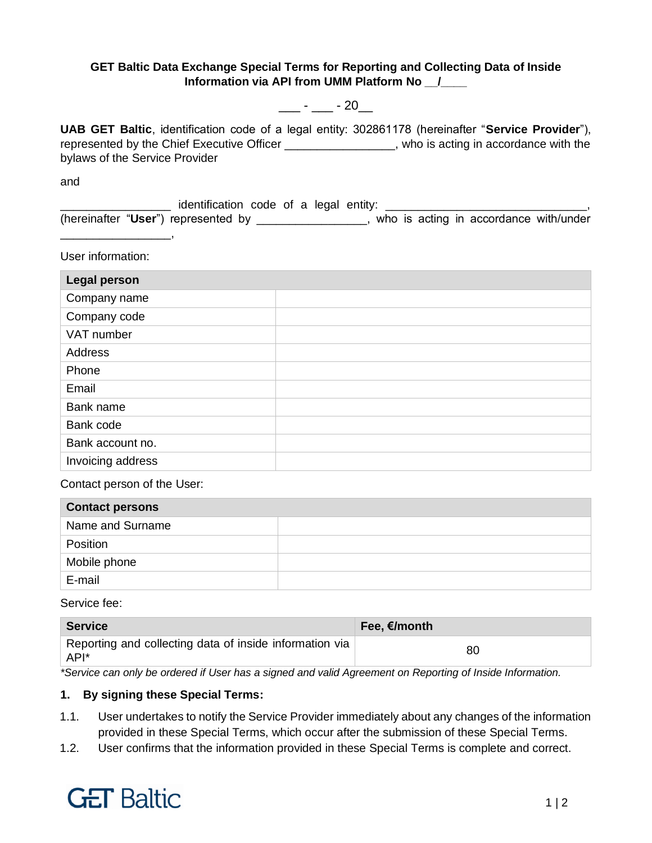### **GET Baltic Data Exchange Special Terms for Reporting and Collecting Data of Inside Information via API from UMM Platform No \_\_/\_\_\_\_**

## $\frac{1}{2}$  -  $\frac{1}{20}$

**UAB GET Baltic**, identification code of a legal entity: 302861178 (hereinafter "**Service Provider**"), represented by the Chief Executive Officer \_\_\_\_\_\_\_\_\_\_\_\_\_\_\_\_\_, who is acting in accordance with the bylaws of the Service Provider

and

Logical entification code of a legal entity: Logical entity: (hereinafter "**User**") represented by \_\_\_\_\_\_\_\_\_\_\_\_\_\_\_\_\_, who is acting in accordance with/under

User information:

\_\_\_\_\_\_\_\_\_\_\_\_\_\_\_\_\_,

| <b>Legal person</b> |  |
|---------------------|--|
| Company name        |  |
| Company code        |  |
| VAT number          |  |
| Address             |  |
| Phone               |  |
| Email               |  |
| Bank name           |  |
| Bank code           |  |
| Bank account no.    |  |
| Invoicing address   |  |

Contact person of the User:

| <b>Contact persons</b> |  |
|------------------------|--|
| Name and Surname       |  |
| Position               |  |
| Mobile phone           |  |
| E-mail                 |  |

Service fee:

| <b>Service</b>                                                  | Fee, €/month |
|-----------------------------------------------------------------|--------------|
| Reporting and collecting data of inside information via<br>API* | 80           |

*\*Service can only be ordered if User has a signed and valid Agreement on Reporting of Inside Information.*

### **1. By signing these Special Terms:**

- 1.1. User undertakes to notify the Service Provider immediately about any changes of the information provided in these Special Terms, which occur after the submission of these Special Terms.
- 1.2. User confirms that the information provided in these Special Terms is complete and correct.

# **GET Baltic**